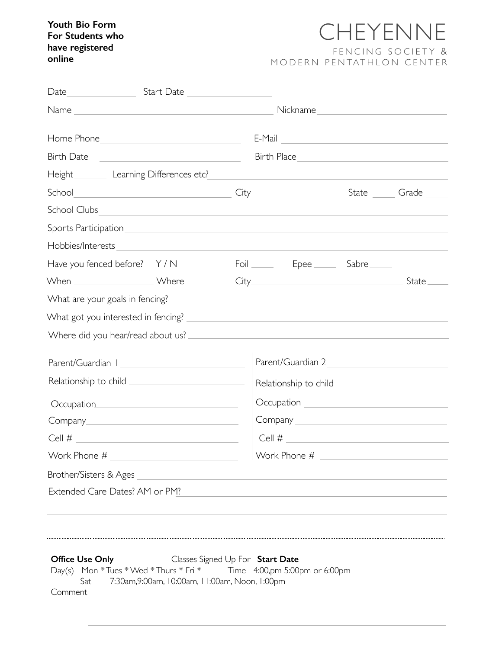## **Youth Bio Form For Students who have registered online**

## CHEYENNE FENCING SOCIETY & MODERN PENTATHLON CENTER

| Start Date <u>Start Date Start Base</u>                       |                                                                            |  |
|---------------------------------------------------------------|----------------------------------------------------------------------------|--|
|                                                               | Nickname                                                                   |  |
|                                                               | $E-Mail$                                                                   |  |
| Birth Date <u>___________________________________</u>         |                                                                            |  |
|                                                               |                                                                            |  |
|                                                               |                                                                            |  |
| School Clubs                                                  |                                                                            |  |
|                                                               |                                                                            |  |
|                                                               |                                                                            |  |
| Have you fenced before? Y/N Foil Foil Fourney Repee Sabre     |                                                                            |  |
|                                                               |                                                                            |  |
|                                                               |                                                                            |  |
|                                                               |                                                                            |  |
|                                                               |                                                                            |  |
|                                                               |                                                                            |  |
|                                                               |                                                                            |  |
| Relationship to child <u>________________________________</u> |                                                                            |  |
|                                                               | Occupation __________________________________                              |  |
|                                                               | Company <u>experience</u>                                                  |  |
|                                                               | $Cell$ #                                                                   |  |
| Work Phone #                                                  | Work Phone #                                                               |  |
| Brother/Sisters & Ages                                        | the control of the control of the control of the control of the control of |  |
| Extended Care Dates? AM or PM?                                |                                                                            |  |